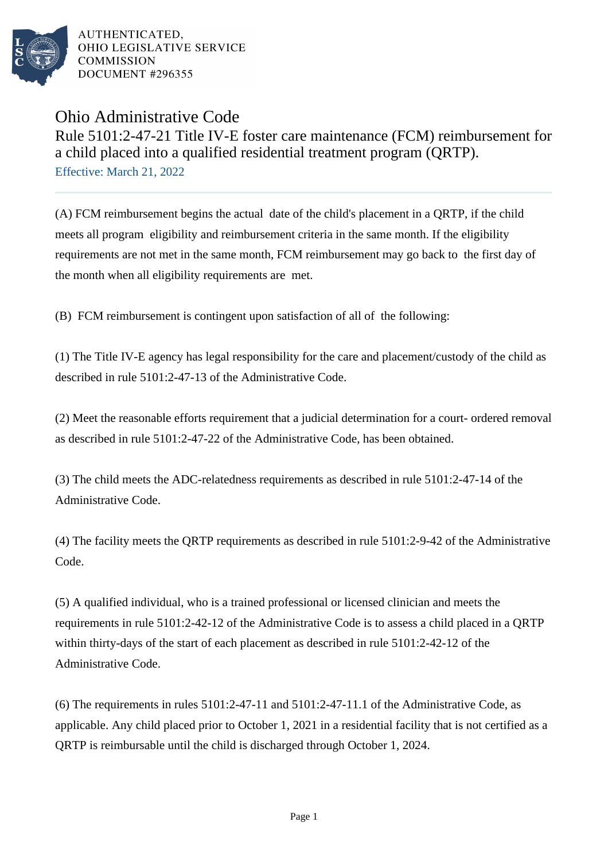

## Ohio Administrative Code Rule 5101:2-47-21 Title IV-E foster care maintenance (FCM) reimbursement for a child placed into a qualified residential treatment program (QRTP). Effective: March 21, 2022

(A) FCM reimbursement begins the actual date of the child's placement in a QRTP, if the child meets all program eligibility and reimbursement criteria in the same month. If the eligibility requirements are not met in the same month, FCM reimbursement may go back to the first day of the month when all eligibility requirements are met.

(B) FCM reimbursement is contingent upon satisfaction of all of the following:

(1) The Title IV-E agency has legal responsibility for the care and placement/custody of the child as described in rule 5101:2-47-13 of the Administrative Code.

(2) Meet the reasonable efforts requirement that a judicial determination for a court- ordered removal as described in rule 5101:2-47-22 of the Administrative Code, has been obtained. 

(3) The child meets the ADC-relatedness requirements as described in rule 5101:2-47-14 of the Administrative Code. 

(4) The facility meets the QRTP requirements as described in rule  $5101:2-9-42$  of the Administrative Code. 

(5) A qualified individual, who is a trained professional or licensed clinician and meets the requirements in rule 5101:2-42-12 of the Administrative Code is to assess a child placed in a QRTP within thirty-days of the start of each placement as described in rule  $5101:2-42-12$  of the Administrative Code.

(6) The requirements in rules  $5101:2-47-11$  and  $5101:2-47-11.1$  of the Administrative Code, as applicable. Any child placed prior to October 1, 2021 in a residential facility that is not certified as a QRTP is reimbursable until the child is discharged through October 1, 2024.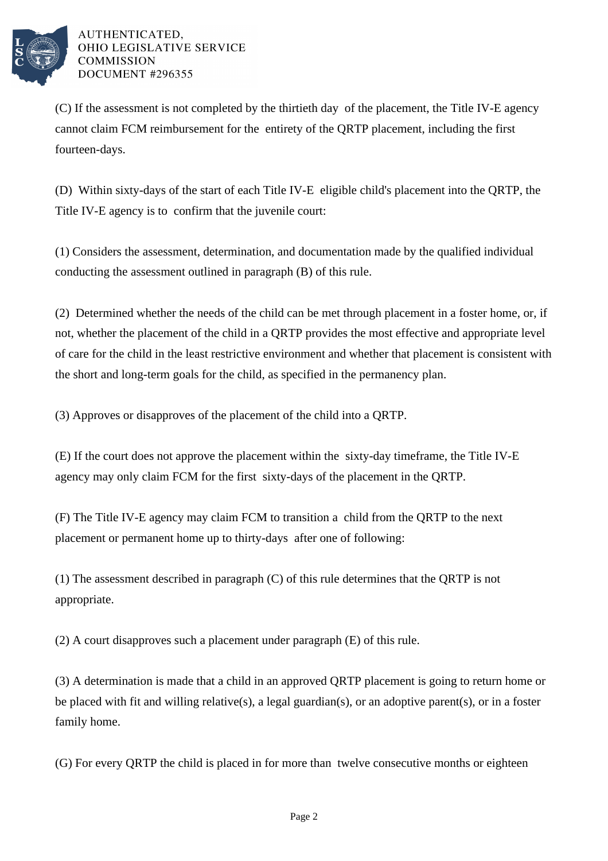

(C) If the assessment is not completed by the thirtieth day of the placement, the Title IV-E agency cannot claim FCM reimbursement for the entirety of the QRTP placement, including the first fourteen-days.

(D) Within sixty-days of the start of each Title IV-E eligible child's placement into the QRTP, the Title IV-E agency is to confirm that the juvenile court:

(1) Considers the assessment, determination, and documentation made by the qualified individual conducting the assessment outlined in paragraph (B) of this rule.

(2) Determined whether the needs of the child can be met through placement in a foster home, or, if not, whether the placement of the child in a QRTP provides the most effective and appropriate level of care for the child in the least restrictive environment and whether that placement is consistent with the short and long-term goals for the child, as specified in the permanency plan.

(3) Approves or disapproves of the placement of the child into a QRTP.

(E) If the court does not approve the placement within the sixty-day timeframe, the Title IV-E agency may only claim FCM for the first sixty-days of the placement in the QRTP.

(F) The Title IV-E agency may claim FCM to transition a child from the QRTP to the next placement or permanent home up to thirty-days after one of following:

(1) The assessment described in paragraph  $(C)$  of this rule determines that the ORTP is not appropriate.

 $(2)$  A court disapproves such a placement under paragraph  $(E)$  of this rule.

(3) A determination is made that a child in an approved QRTP placement is going to return home or be placed with fit and willing relative(s), a legal guardian(s), or an adoptive parent(s), or in a foster family home.

(G) For every QRTP the child is placed in for more than twelve consecutive months or eighteen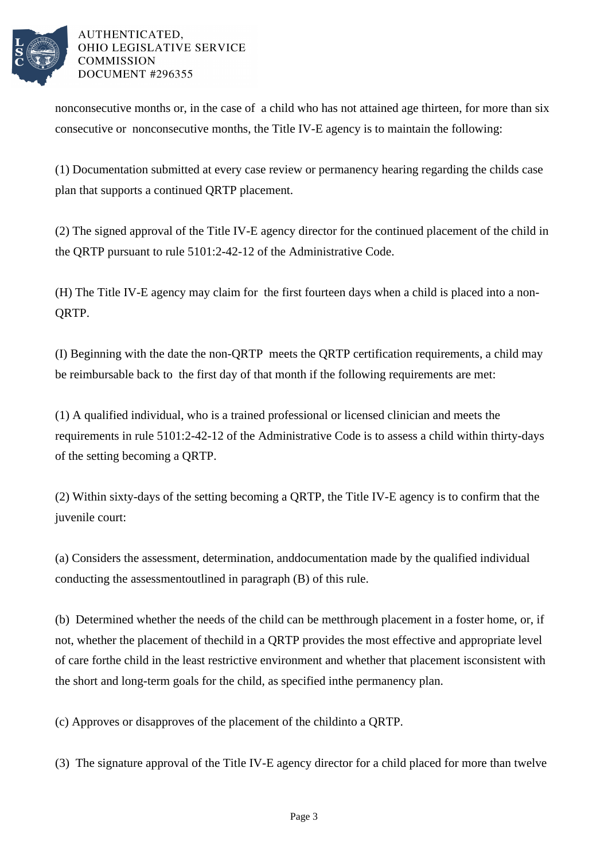

nonconsecutive months or, in the case of a child who has not attained age thirteen, for more than six consecutive or nonconsecutive months, the Title IV-E agency is to maintain the following:

(1) Documentation submitted at every case review or permanency hearing regarding the childs case plan that supports a continued QRTP placement.

(2) The signed approval of the Title IV-E agency director for the continued placement of the child in the QRTP pursuant to rule 5101:2-42-12 of the Administrative Code. 

(H) The Title IV-E agency may claim for the first fourteen days when a child is placed into a non-QRTP.

(I) Beginning with the date the non-QRTP meets the QRTP certification requirements, a child may be reimbursable back to the first day of that month if the following requirements are met:

(1) A qualified individual, who is a trained professional or licensed clinician and meets the requirements in rule 5101:2-42-12 of the Administrative Code is to assess a child within thirty-days of the setting becoming a QRTP.

(2) Within sixty-days of the setting becoming a QRTP, the Title IV-E agency is to confirm that the juvenile court:

(a) Considers the assessment, determination, and documentation made by the qualified individual conducting the assessment outlined in paragraph (B) of this rule.

(b) Determined whether the needs of the child can be met through placement in a foster home, or, if not, whether the placement of the child in a QRTP provides the most effective and appropriate level of care for the child in the least restrictive environment and whether that placement is consistent with the short and long-term goals for the child, as specified in the permanency plan.

(c) Approves or disapproves of the placement of the child into a QRTP.

(3) The signature approval of the Title IV-E agency director for a child placed for more than twelve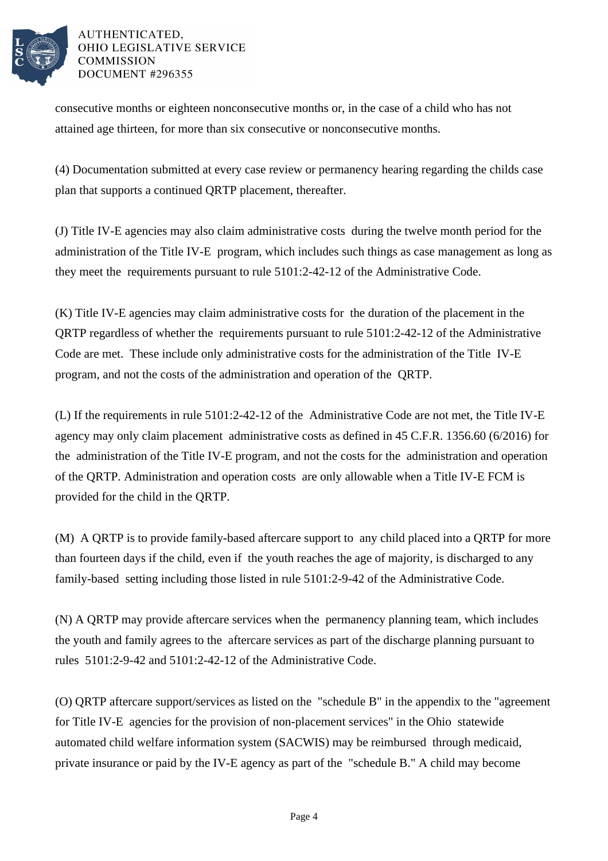

consecutive months or eighteen nonconsecutive months or, in the case of a child who has not attained age thirteen, for more than six consecutive or nonconsecutive months.

(4) Documentation submitted at every case review or permanency hearing regarding the childs case plan that supports a continued QRTP placement, thereafter.

(J) Title IV-E agencies may also claim administrative costs during the twelve month period for the administration of the Title IV-E program, which includes such things as case management as long as they meet the requirements pursuant to rule 5101:2-42-12 of the Administrative Code.

(K) Title IV-E agencies may claim administrative costs for the duration of the placement in the QRTP regardless of whether the requirements pursuant to rule 5101:2-42-12 of the Administrative Code are met. These include only administrative costs for the administration of the Title IV-E program, and not the costs of the administration and operation of the QRTP.

(L) If the requirements in rule 5101:2-42-12 of the Administrative Code are not met, the Title IV-E agency may only claim placement administrative costs as defined in 45 C.F.R. 1356.60 (6/2016) for the administration of the Title IV-E program, and not the costs for the administration and operation of the QRTP. Administration and operation costs are only allowable when a Title IV-E FCM is provided for the child in the QRTP.

(M) A QRTP is to provide family-based aftercare support to any child placed into a QRTP for more than fourteen days if the child, even if the youth reaches the age of majority, is discharged to any family-based setting including those listed in rule 5101:2-9-42 of the Administrative Code.

(N) A QRTP may provide aftercare services when the permanency planning team, which includes the youth and family agrees to the aftercare services as part of the discharge planning pursuant to rules 5101:2-9-42 and 5101:2-42-12 of the Administrative Code.

(O) QRTP aftercare support/services as listed on the "schedule B" in the appendix to the "agreement for Title IV-E agencies for the provision of non-placement services" in the Ohio statewide automated child welfare information system (SACWIS) may be reimbursed through medicaid, private insurance or paid by the IV-E agency as part of the "schedule B." A child may become